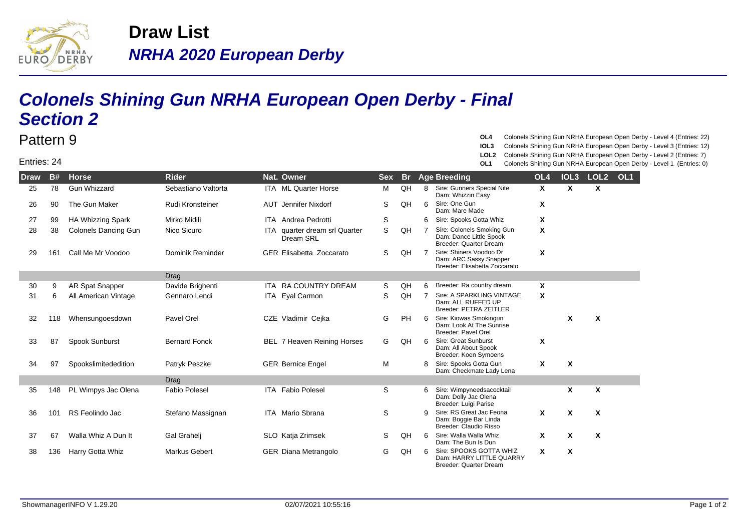

## **NRHA 2020 European Derby Draw List**

## **Colonels Shining Gun NRHA European Open Derby - Final Section 2**

## Entries: 24

Pattern 9

**OL4** Colonels Shining Gun NRHA European Open Derby - Level 4 (Entries: 22)

- **IOL3** Colonels Shining Gun NRHA European Open Derby Level 3 (Entries: 12)
- **LOL2** Colonels Shining Gun NRHA European Open Derby Level 2 (Entries: 7)
- **OL1** Colonels Shining Gun NRHA European Open Derby Level 1 (Entries: 0)

| <b>Draw</b> | <b>B#</b> | <b>Horse</b>                | <b>Rider</b>         | Nat. Owner                                 | <b>Sex</b>  | <b>Br</b> |                | <b>Age Breeding</b>                                                                | OL <sub>4</sub> | IOL <sub>3</sub>          | LOL <sub>2</sub> | OL <sub>1</sub> |
|-------------|-----------|-----------------------------|----------------------|--------------------------------------------|-------------|-----------|----------------|------------------------------------------------------------------------------------|-----------------|---------------------------|------------------|-----------------|
| 25          | 78        | <b>Gun Whizzard</b>         | Sebastiano Valtorta  | <b>ITA ML Quarter Horse</b>                | м           | QH        | 8              | Sire: Gunners Special Nite<br>Dam: Whizzin Easy                                    | X               | X                         | X                |                 |
| 26          | 90        | The Gun Maker               | Rudi Kronsteiner     | <b>AUT</b> Jennifer Nixdorf                | S           | QH        | 6              | Sire: One Gun<br>Dam: Mare Made                                                    | X               |                           |                  |                 |
| 27          | 99        | <b>HA Whizzing Spark</b>    | Mirko Midili         | <b>ITA</b> Andrea Pedrotti                 | S           |           | 6              | Sire: Spooks Gotta Whiz                                                            | X               |                           |                  |                 |
| 28          | 38        | <b>Colonels Dancing Gun</b> | Nico Sicuro          | ITA quarter dream srl Quarter<br>Dream SRL | $\mathsf S$ | QH        | 7              | Sire: Colonels Smoking Gun<br>Dam: Dance Little Spook<br>Breeder: Quarter Dream    | X               |                           |                  |                 |
| 29          | 161       | Call Me Mr Voodoo           | Dominik Reminder     | <b>GER Elisabetta Zoccarato</b>            | S           | QH        | $\overline{7}$ | Sire: Shiners Voodoo Dr<br>Dam: ARC Sassy Snapper<br>Breeder: Elisabetta Zoccarato | X               |                           |                  |                 |
|             |           |                             | <b>Drag</b>          |                                            |             |           |                |                                                                                    |                 |                           |                  |                 |
| 30          | 9         | AR Spat Snapper             | Davide Brighenti     | ITA RA COUNTRY DREAM                       | S           | QH        | 6              | Breeder: Ra country dream                                                          | X               |                           |                  |                 |
| 31          | 6         | All American Vintage        | Gennaro Lendi        | ITA Eyal Carmon                            | S           | QH        |                | Sire: A SPARKLING VINTAGE<br>Dam: ALL RUFFED UP<br><b>Breeder: PETRA ZEITLER</b>   | X               |                           |                  |                 |
| 32          | 118       | Whensungoesdown             | Pavel Orel           | CZE Vladimir Cejka                         | G           | <b>PH</b> | 6              | Sire: Kiowas Smokingun<br>Dam: Look At The Sunrise<br>Breeder: Pavel Orel          |                 | $\mathbf x$               | X                |                 |
| 33          | 87        | Spook Sunburst              | <b>Bernard Fonck</b> | <b>BEL 7 Heaven Reining Horses</b>         | G           | QH        | 6              | <b>Sire: Great Sunburst</b><br>Dam: All About Spook<br>Breeder: Koen Symoens       | X               |                           |                  |                 |
| 34          | 97        | Spookslimitededition        | Patryk Peszke        | <b>GER Bernice Engel</b>                   | M           |           | 8              | Sire: Spooks Gotta Gun<br>Dam: Checkmate Lady Lena                                 | X               | X                         |                  |                 |
|             |           |                             | Drag                 |                                            |             |           |                |                                                                                    |                 |                           |                  |                 |
| 35          | 148       | PL Wimpys Jac Olena         | <b>Fabio Polesel</b> | <b>ITA</b> Fabio Polesel                   | S           |           | 6.             | Sire: Wimpyneedsacocktail<br>Dam: Dolly Jac Olena<br>Breeder: Luigi Parise         |                 | X                         | X                |                 |
| 36          | 101       | RS Feolindo Jac             | Stefano Massignan    | ITA Mario Sbrana                           | S           |           | 9              | Sire: RS Great Jac Feona<br>Dam: Boggie Bar Linda<br>Breeder: Claudio Risso        | X               | $\boldsymbol{\mathsf{x}}$ | X                |                 |
| 37          | 67        | Walla Whiz A Dun It         | Gal Grahelj          | SLO Katja Zrimsek                          | S           | QH        | 6              | Sire: Walla Walla Whiz<br>Dam: The Bun Is Dun                                      | X               | X                         | X                |                 |
| 38          | 136       | Harry Gotta Whiz            | <b>Markus Gebert</b> | <b>GER Diana Metrangolo</b>                | G           | QH        | ี              | Sire: SPOOKS GOTTA WHIZ<br>Dam: HARRY LITTLE QUARRY<br>Breeder: Quarter Dream      | X               | X                         |                  |                 |